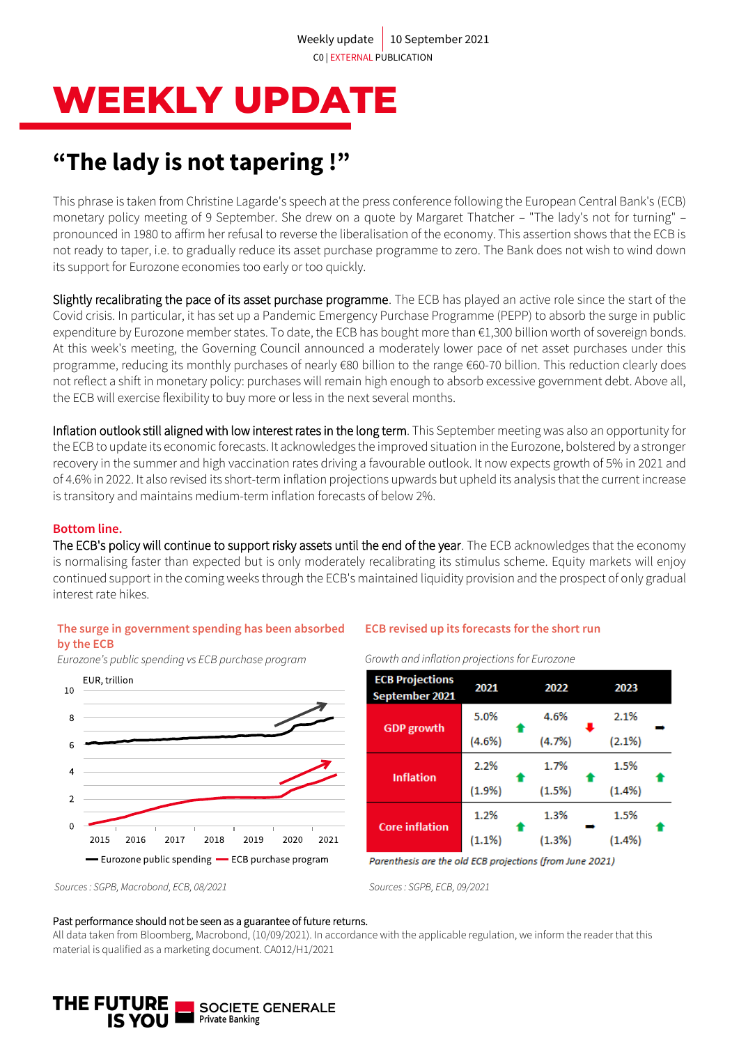# **WEEKLY UPDATE**

## **"The lady is not tapering !"**

This phrase is taken from Christine Lagarde's speech at the press conference following the European Central Bank's (ECB) monetary policy meeting of 9 September. She drew on a quote by Margaret Thatcher – "The lady's not for turning" – pronounced in 1980 to affirm her refusal to reverse the liberalisation of the economy. This assertion shows that the ECB is not ready to taper, i.e. to gradually reduce its asset purchase programme to zero. The Bank does not wish to wind down its support for Eurozone economies too early or too quickly.

Slightly recalibrating the pace of its asset purchase programme. The ECB has played an active role since the start of the Covid crisis. In particular, it has set up a Pandemic Emergency Purchase Programme (PEPP) to absorb the surge in public expenditure by Eurozone member states. To date, the ECB has bought more than €1,300 billion worth of sovereign bonds. At this week's meeting, the Governing Council announced a moderately lower pace of net asset purchases under this programme, reducing its monthly purchases of nearly €80 billion to the range €60-70 billion. This reduction clearly does not reflect a shift in monetary policy: purchases will remain high enough to absorb excessive government debt. Above all, the ECB will exercise flexibility to buy more or less in the next several months.

Inflation outlook still aligned with low interest rates in the long term. This September meeting was also an opportunity for the ECB to update its economic forecasts. It acknowledges the improved situation in the Eurozone, bolstered by a stronger recovery in the summer and high vaccination rates driving a favourable outlook. It now expects growth of 5% in 2021 and of 4.6% in 2022. It also revised its short-term inflation projections upwards but upheld its analysis that the current increase is transitory and maintains medium-term inflation forecasts of below 2%.

### **Bottom line.**

The ECB's policy will continue to support risky assets until the end of the year. The ECB acknowledges that the economy is normalising faster than expected but is only moderately recalibrating its stimulus scheme. Equity markets will enjoy continued support in the coming weeks through the ECB's maintained liquidity provision and the prospect of only gradual interest rate hikes.

### **The surge in government spending has been absorbed by the ECB**

*Eurozone's public spending vs ECB purchase program* 



### **ECB revised up its forecasts for the short run**

*Growth and inflation projections for Eurozone*

| <b>ECB Projections</b><br>September 2021 | 2021      | 2022   | 2023      |  |  |
|------------------------------------------|-----------|--------|-----------|--|--|
| <b>GDP</b> growth                        | 5.0%      | 4.6%   | 2.1%      |  |  |
|                                          | $(4.6\%)$ | (4.7%) | (2.1%)    |  |  |
| <b>Inflation</b>                         | 2.2%      | 1.7%   | 1.5%      |  |  |
|                                          | (1.9%)    | (1.5%) | $(1.4\%)$ |  |  |
| <b>Core inflation</b>                    | 1.2%      | 1.3%   | 1.5%      |  |  |
|                                          | $(1.1\%)$ | (1.3%) | (1.4%)    |  |  |

Parenthesis are the old ECB projections (from June 2021)

#### Past performance should not be seen as a guarantee of future returns.

All data taken from Bloomberg, Macrobond, (10/09/2021). In accordance with the applicable regulation, we inform the reader that this material is qualified as a marketing document. CA012/H1/2021



*Sources : SGPB, Macrobond, ECB, 08/2021 Sources : SGPB, ECB, 09/2021*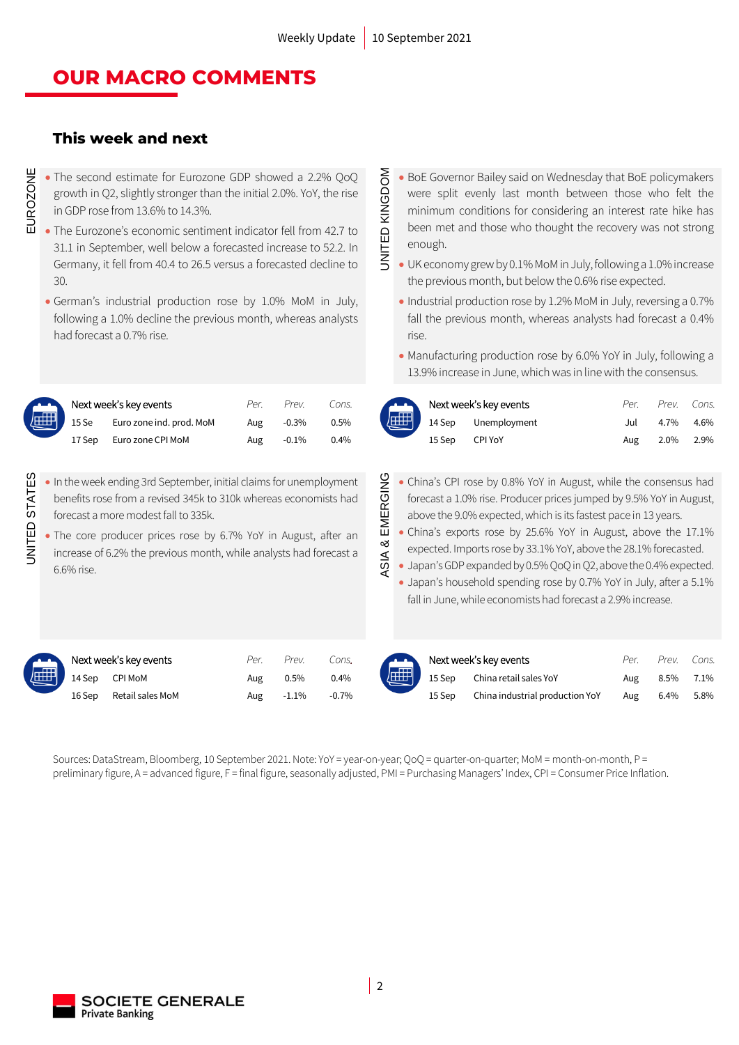### **OUR MACRO COMMENTS**

### **This week and next**

- The second estimate for Eurozone GDP showed a 2.2% QoQ growth in Q2, slightly stronger than the initial 2.0%. YoY, the rise in GDP rose from 13.6% to 14.3%.
- The Eurozone's economic sentiment indicator fell from 42.7 to 31.1 in September, well below a forecasted increase to 52.2. In Germany, it fell from 40.4 to 26.5 versus a forecasted decline to 30.
- German's industrial production rose by 1.0% MoM in July, following a 1.0% decline the previous month, whereas analysts had forecast a 0.7% rise.

|  |                                                                                    | Per. | Prev.    | Cons.   |
|--|------------------------------------------------------------------------------------|------|----------|---------|
|  | Next week's key events<br>15 Se Euro zone ind. p<br>15 Se Euro zone ind. prod. MoM | Aug  | $-0.3\%$ | $0.5\%$ |
|  | 17 Sep Euro zone CPI MoM                                                           | Aug  | $-0.1\%$ | $0.4\%$ |

- UNITED STATES • In the week ending 3rd September, initial claims for unemployment benefits rose from a revised 345k to 310k whereas economists had forecast a more modest fall to 335k.
	- The core producer prices rose by 6.7% YoY in August, after an increase of 6.2% the previous month, while analysts had forecast a 6.6% rise.
- UNITED KINGDOM • BoE Governor Bailey said on Wednesday that BoE policymakers were split evenly last month between those who felt the minimum conditions for considering an interest rate hike has been met and those who thought the recovery was not strong enough.
- JNITED KINGDOM • UK economy grew by 0.1% MoM in July, following a 1.0% increase the previous month, but below the 0.6% rise expected.
	- Industrial production rose by 1.2% MoM in July, reversing a 0.7% fall the previous month, whereas analysts had forecast a 0.4% rise.
	- Manufacturing production rose by 6.0% YoY in July, following a 13.9% increase in June, which was in line with the consensus.

| Next week's key events |                          | Per. | Prev.   | Cons. | Next week's key events |                                                                                                     | Per | Prev. | Cons. |
|------------------------|--------------------------|------|---------|-------|------------------------|-----------------------------------------------------------------------------------------------------|-----|-------|-------|
| 15 Se                  | Euro zone ind. prod. MoM | Aug  | $-0.3%$ | 0.5%  |                        | $\left(\begin{array}{ccc}\n\begin{array}{ccc}\n\end{array}\n\end{array}\right)$ 14 Sep Unemployment | Jul | 4.7%  | 4.6%  |
| 17 Sep                 | Euro zone CPI MoM        | Aug  | $-0.1%$ | 0.4%  | 15 Sep                 | CPI YoY                                                                                             | Aug | 2.0%  | 2.9%  |

- ASIA & EMERGING EMERGING • China's CPI rose by 0.8% YoY in August, while the consensus had forecast a 1.0% rise. Producer prices jumped by 9.5% YoY in August, above the 9.0% expected, which is its fastest pace in 13 years.<br>• China's exports rose b forecast a 1.0% rise. Producer prices jumped by 9.5% YoY in August, above the 9.0% expected, which is its fastest pace in 13 years.
	- China's exports rose by 25.6% YoY in August, above the 17.1% expected. Imports rose by 33.1% YoY, above the 28.1% forecasted.
	- Japan's GDP expanded by 0.5% QoQ in Q2, above the 0.4% expected.
	- Japan's household spending rose by 0.7% YoY in July, after a 5.1% fall in June, while economists had forecast a 2.9% increase.

**JNITED STATES** 

| Next week's key events  |     | Per. Prev. | Cons.   |
|-------------------------|-----|------------|---------|
| 14 Sep CPI MoM          | Aug | $0.5\%$    | $0.4\%$ |
| 16 Sep Retail sales MoM |     | Aug -1.1%  | -0.7%   |

|        | Next week's key events | Per. | Prev.    |         | Cons. Next week's key events |                                            | Per. | Prev. | Cons. |
|--------|------------------------|------|----------|---------|------------------------------|--------------------------------------------|------|-------|-------|
| 14 Sep | CPI MoM                | Aug  | 0.5%     | 0.4%    |                              | <b>ALLET</b> 15 Sep China retail sales YoY | Aug  | 8.5%  | 7.1%  |
| 16 Sep | Retail sales MoM       | Aug  | $-1.1\%$ | $-0.7%$ | 15 Sep                       | China industrial production YoY            | Aug  | 6.4%  | 5.8%  |

Sources: DataStream, Bloomberg, 10 September 2021. Note: YoY = year-on-year; QoQ = quarter-on-quarter; MoM = month-on-month, P = preliminary figure, A = advanced figure, F = final figure, seasonally adjusted, PMI = Purchasing Managers' Index, CPI = Consumer Price Inflation.

ASIA &

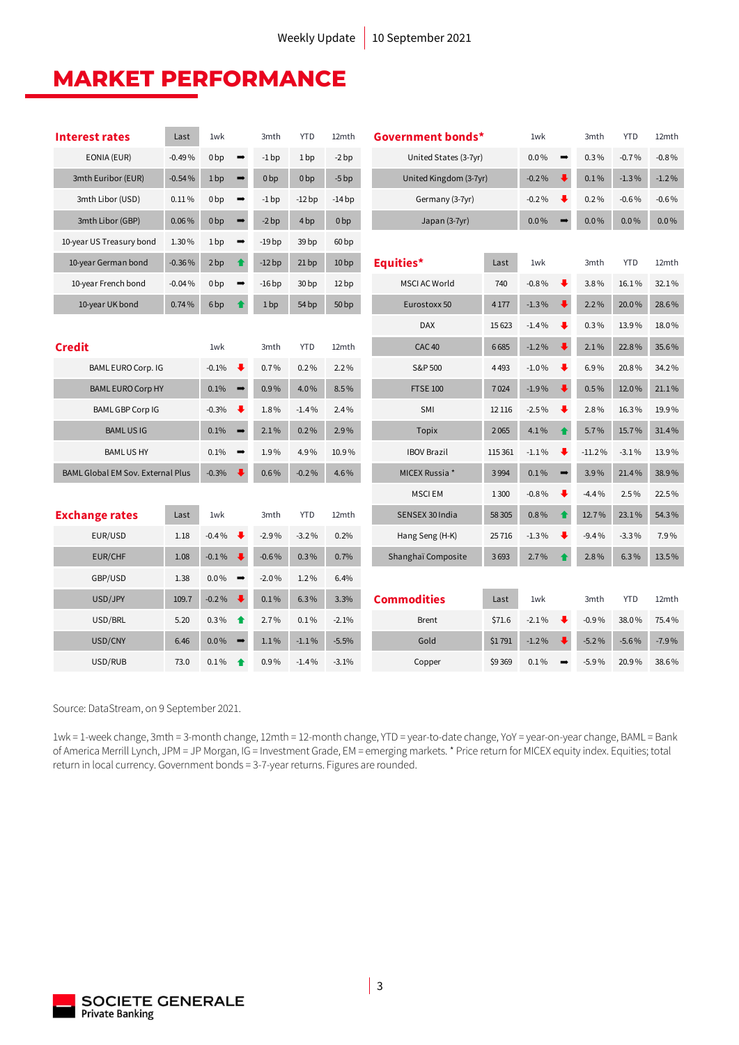### **MARKET PERFORMANCE**

| <b>Interest rates</b>                    | Last     | 1wk             |                                 | 3mth            | <b>YTD</b>       | 12mth            | Government bonds*      |                       | 1wk     |                      | 3mth     | <b>YTD</b> | 12mth   |
|------------------------------------------|----------|-----------------|---------------------------------|-----------------|------------------|------------------|------------------------|-----------------------|---------|----------------------|----------|------------|---------|
| EONIA (EUR)                              | $-0.49%$ | 0 <sub>bp</sub> | $\rightarrow$                   | $-1$ bp         | 1 <sub>bp</sub>  | $-2bp$           |                        | United States (3-7yr) |         | $\rightarrow$        | 0.3%     | $-0.7%$    | $-0.8%$ |
| 3mth Euribor (EUR)                       | $-0.54%$ | 1bp             | $\rightarrow$                   | 0 <sub>bp</sub> | 0 <sub>bp</sub>  | $-5bp$           | United Kingdom (3-7yr) |                       | $-0.2%$ |                      | 0.1%     | $-1.3%$    | $-1.2%$ |
| 3mth Libor (USD)                         | 0.11%    | 0 <sub>bp</sub> | $\qquad \qquad \Longrightarrow$ | $-1$ bp         | $-12bp$          | $-14bp$          | Germany (3-7yr)        |                       | $-0.2%$ | ₩                    | 0.2%     | $-0.6%$    | $-0.6%$ |
| 3mth Libor (GBP)                         | 0.06%    | 0 <sub>bp</sub> | $\qquad \qquad \rightarrow$     | $-2bp$          | 4 <sub>bp</sub>  | 0 <sub>bp</sub>  | Japan (3-7yr)          |                       | $0.0\%$ |                      | $0.0\%$  | $0.0\%$    | $0.0\%$ |
| 10-year US Treasury bond                 | 1.30%    | 1 <sub>bp</sub> | $\rightarrow$                   | -19 bp          | 39 <sub>bp</sub> | 60 <sub>bp</sub> |                        |                       |         |                      |          |            |         |
| 10-year German bond                      | $-0.36%$ | 2bp             | $\bullet$                       | $-12bp$         | 21bp             | 10 <sub>bp</sub> | Equities*              | Last                  | 1wk     |                      | 3mth     | <b>YTD</b> | 12mth   |
| 10-year French bond                      | $-0.04%$ | 0 <sub>bp</sub> | $\rightarrow$                   | $-16bp$         | 30 <sub>bp</sub> | 12 <sub>bp</sub> | <b>MSCI AC World</b>   | 740                   | $-0.8%$ | $\ddot{\phantom{0}}$ | 3.8%     | 16.1%      | 32.1%   |
| 10-year UK bond                          | 0.74%    | 6 <sub>bp</sub> | ♠                               | 1bp             | 54 bp            | 50 <sub>bp</sub> | Eurostoxx 50           | 4 1 7 7               | $-1.3%$ |                      | 2.2%     | 20.0%      | 28.6%   |
|                                          |          |                 |                                 |                 |                  |                  | <b>DAX</b>             | 15 6 23               | $-1.4%$ | ₩                    | 0.3%     | 13.9%      | 18.0%   |
| <b>Credit</b>                            |          | 1wk             |                                 | 3mth            | <b>YTD</b>       | 12mth            | CAC <sub>40</sub>      | 6685                  | $-1.2%$ |                      | 2.1%     | 22.8%      | 35.6%   |
| BAML EURO Corp. IG                       |          | $-0.1%$         | $\ddot{\phantom{0}}$            | 0.7%            | 0.2%             | 2.2%             | S&P 500                | 4493                  | $-1.0%$ | ₩                    | 6.9%     | 20.8%      | 34.2%   |
| <b>BAML EURO Corp HY</b>                 |          | 0.1%            | $\rightarrow$                   | 0.9%            | 4.0%             | 8.5%             | <b>FTSE 100</b>        | 7024                  | $-1.9%$ |                      | 0.5%     | 12.0%      | 21.1%   |
| <b>BAML GBP Corp IG</b>                  |          | $-0.3%$         | ₩                               | 1.8%            | $-1.4%$          | 2.4%             | SMI                    | 12 11 6               | $-2.5%$ | ₩                    | 2.8%     | 16.3%      | 19.9%   |
| <b>BAMLUSIG</b>                          |          | 0.1%            |                                 | 2.1%            | 0.2%             | 2.9%             | <b>Topix</b>           | 2065                  | 4.1%    |                      | 5.7%     | 15.7%      | 31.4%   |
| <b>BAMLUSHY</b>                          |          | 0.1%            |                                 | 1.9%            | 4.9%             | 10.9%            | <b>IBOV Brazil</b>     | 115 361               | $-1.1%$ | ⋅                    | $-11.2%$ | $-3.1%$    | 13.9%   |
| <b>BAML Global EM Sov. External Plus</b> |          | $-0.3%$         |                                 | 0.6%            | $-0.2%$          | 4.6%             | MICEX Russia *<br>3994 |                       | 0.1%    | $\rightarrow$        | 3.9%     | 21.4%      | 38.9%   |
|                                          |          |                 |                                 |                 |                  |                  | <b>MSCIEM</b>          | 1 3 0 0               | $-0.8%$ | ₩                    | $-4.4%$  | 2.5%       | 22.5%   |
| <b>Exchange rates</b>                    | Last     | 1wk             |                                 | 3mth            | <b>YTD</b>       | 12mth            | SENSEX 30 India        | 58 30 5               | 0.8%    |                      | 12.7%    | 23.1%      | 54.3%   |
| EUR/USD                                  | 1.18     | $-0.4%$         | ₩                               | $-2.9%$         | $-3.2%$          | 0.2%             | Hang Seng (H-K)        | 25716                 | $-1.3%$ | ₩                    | $-9.4%$  | $-3.3%$    | 7.9%    |
| EUR/CHF                                  | 1.08     | $-0.1\%$        | ⋅                               | $-0.6%$         | $0.3\%$          | 0.7%             | Shanghaï Composite     | 3693                  | 2.7%    |                      | 2.8%     | 6.3%       | 13.5%   |
| GBP/USD                                  | 1.38     | $0.0\%$         | $\qquad \qquad \Longrightarrow$ | $-2.0%$         | 1.2%             | 6.4%             |                        |                       |         |                      |          |            |         |
| USD/JPY                                  | 109.7    | $-0.2%$         | $\ddot{\phantom{1}}$            | 0.1%            | 6.3%             | 3.3%             | <b>Commodities</b>     | Last                  | 1wk     |                      | 3mth     | <b>YTD</b> | 12mth   |
| USD/BRL                                  | 5.20     | 0.3%            | ↟                               | 2.7%            | 0.1%             | $-2.1%$          | <b>Brent</b>           | \$71.6                | $-2.1%$ |                      | $-0.9%$  | 38.0%      | 75.4%   |
| USD/CNY                                  | 6.46     | $0.0\%$         |                                 | 1.1%            | $-1.1%$          | $-5.5%$          | Gold                   | \$1791                | $-1.2%$ |                      | $-5.2%$  | $-5.6%$    | $-7.9%$ |
| USD/RUB                                  | 73.0     | 0.1%            | ♠                               | 0.9%            | $-1.4%$          | $-3.1%$          | Copper                 | \$9369                | 0.1%    |                      | $-5.9%$  | 20.9%      | 38.6%   |

Source: DataStream, on 9 September 2021.

1wk = 1-week change, 3mth = 3-month change, 12mth = 12-month change, YTD = year-to-date change, YoY = year-on-year change, BAML = Bank of America Merrill Lynch, JPM = JP Morgan, IG = Investment Grade, EM = emerging markets. \* Price return for MICEX equity index. Equities; total return in local currency. Government bonds = 3-7-year returns. Figures are rounded.

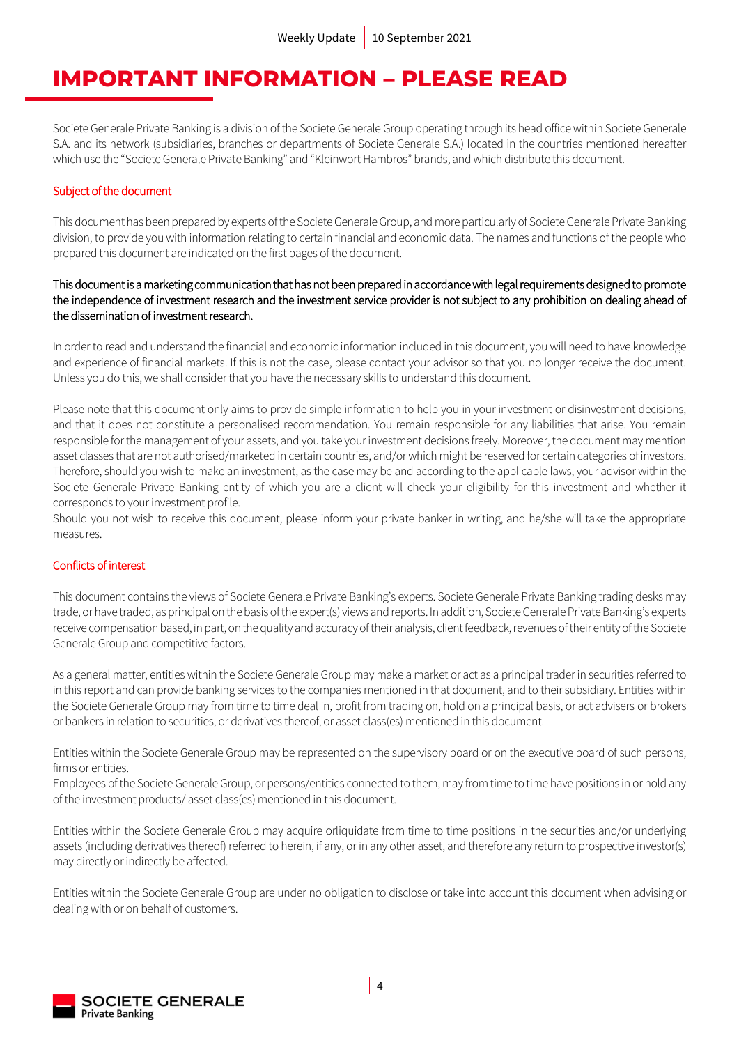### **IMPORTANT INFORMATION – PLEASE READ**

Societe Generale Private Banking is a division of the Societe Generale Group operating through its head office within Societe Generale S.A. and its network (subsidiaries, branches or departments of Societe Generale S.A.) located in the countries mentioned hereafter which use the "Societe Generale Private Banking" and "Kleinwort Hambros" brands, and which distribute this document.

### Subject of the document

This document has been prepared by experts of the Societe GeneraleGroup, and more particularly of Societe Generale Private Banking division, to provide you with information relating to certain financial and economic data. The names and functions of the people who prepared this document are indicated on the first pages of the document.

### This document is a marketing communication that has not been prepared in accordance with legal requirements designed to promote the independence of investment research and the investment service provider is not subject to any prohibition on dealing ahead of the dissemination of investment research.

In order to read and understand the financial and economic information included in this document, you will need to have knowledge and experience of financial markets. If this is not the case, please contact your advisor so that you no longer receive the document. Unless you do this, we shall consider that you have the necessary skills to understand this document.

Please note that this document only aims to provide simple information to help you in your investment or disinvestment decisions, and that it does not constitute a personalised recommendation. You remain responsible for any liabilities that arise. You remain responsible for the management of your assets, and you take your investment decisions freely. Moreover, the document may mention asset classes that are not authorised/marketed in certain countries, and/or which might be reserved for certain categories of investors. Therefore, should you wish to make an investment, as the case may be and according to the applicable laws, your advisor within the Societe Generale Private Banking entity of which you are a client will check your eligibility for this investment and whether it corresponds to your investment profile.

Should you not wish to receive this document, please inform your private banker in writing, and he/she will take the appropriate measures.

### Conflicts of interest

This document contains the views of Societe Generale Private Banking's experts. Societe Generale Private Banking trading desks may trade, or have traded, as principal on the basis of the expert(s) views and reports. In addition, Societe Generale Private Banking's experts receive compensation based, in part, on the quality and accuracy of their analysis, client feedback, revenues of their entity of the Societe Generale Group and competitive factors.

As a general matter, entities within the Societe Generale Group may make a market or act as a principal trader in securities referred to in this report and can provide banking services to the companies mentioned in that document, and to their subsidiary. Entities within the Societe Generale Group may from time to time deal in, profit from trading on, hold on a principal basis, or act advisers or brokers or bankers in relation to securities, or derivatives thereof, or asset class(es) mentioned in this document.

Entities within the Societe Generale Group may be represented on the supervisory board or on the executive board of such persons, firms or entities.

Employees of the Societe Generale Group, or persons/entities connected to them, may from time to time have positions in or hold any of the investment products/ asset class(es) mentioned in this document.

Entities within the Societe Generale Group may acquire orliquidate from time to time positions in the securities and/or underlying assets (including derivatives thereof) referred to herein, if any, or in any other asset, and therefore any return to prospective investor(s) may directly or indirectly be affected.

Entities within the Societe Generale Group are under no obligation to disclose or take into account this document when advising or dealing with or on behalf of customers.

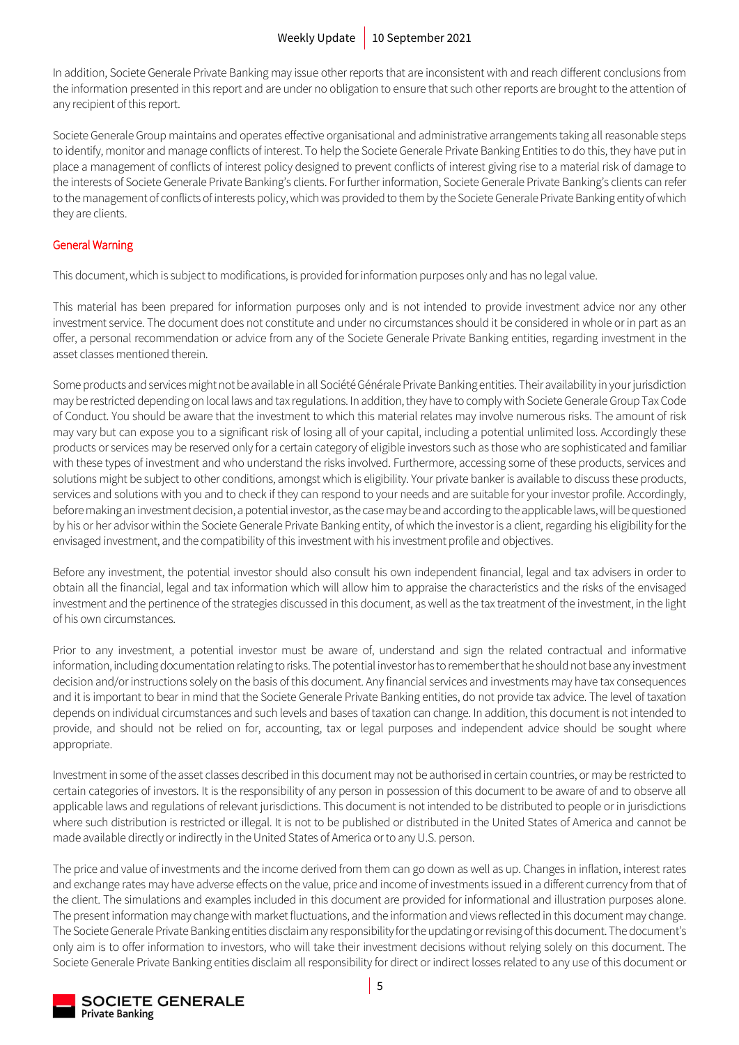In addition, Societe Generale Private Banking may issue other reports that are inconsistent with and reach different conclusions from the information presented in this report and are under no obligation to ensure that such other reports are brought to the attention of any recipient of this report.

Societe Generale Group maintains and operates effective organisational and administrative arrangements taking all reasonable steps to identify, monitor and manage conflicts of interest. To help the Societe Generale Private Banking Entities to do this, they have put in place a management of conflicts of interest policy designed to prevent conflicts of interest giving rise to a material risk of damage to the interests of Societe Generale Private Banking's clients. For further information, Societe Generale Private Banking's clients can refer to the management of conflicts of interests policy, which was provided to them by the Societe Generale Private Banking entity of which they are clients.

### General Warning

This document, which is subject to modifications, is provided for information purposes only and has no legal value.

This material has been prepared for information purposes only and is not intended to provide investment advice nor any other investment service. The document does not constitute and under no circumstances should it be considered in whole or in part as an offer, a personal recommendation or advice from any of the Societe Generale Private Banking entities, regarding investment in the asset classes mentioned therein.

Some products and services might not be available in all Société Générale Private Banking entities. Their availability in your jurisdiction may be restricted depending on local laws and tax regulations. In addition, they have to comply with Societe Generale Group Tax Code of Conduct. You should be aware that the investment to which this material relates may involve numerous risks. The amount of risk may vary but can expose you to a significant risk of losing all of your capital, including a potential unlimited loss. Accordingly these products or services may be reserved only for a certain category of eligible investors such as those who are sophisticated and familiar with these types of investment and who understand the risks involved. Furthermore, accessing some of these products, services and solutions might be subject to other conditions, amongst which is eligibility. Your private banker is available to discuss these products, services and solutions with you and to check if they can respond to your needs and are suitable for your investor profile. Accordingly, before making an investment decision, a potential investor, as the case may be and according to the applicable laws, will be questioned by his or her advisor within the Societe Generale Private Banking entity, of which the investor is a client, regarding his eligibility for the envisaged investment, and the compatibility of this investment with his investment profile and objectives.

Before any investment, the potential investor should also consult his own independent financial, legal and tax advisers in order to obtain all the financial, legal and tax information which will allow him to appraise the characteristics and the risks of the envisaged investment and the pertinence of the strategies discussed in this document, as well as the tax treatment of the investment, in the light of his own circumstances.

Prior to any investment, a potential investor must be aware of, understand and sign the related contractual and informative information, including documentation relating to risks. The potential investor has to remember that he should not base any investment decision and/or instructions solely on the basis of this document. Any financial services and investments may have tax consequences and it is important to bear in mind that the Societe Generale Private Banking entities, do not provide tax advice. The level of taxation depends on individual circumstances and such levels and bases of taxation can change. In addition, this document is not intended to provide, and should not be relied on for, accounting, tax or legal purposes and independent advice should be sought where appropriate.

Investment in some of the asset classes described in this document may not be authorised in certain countries, or may be restricted to certain categories of investors. It is the responsibility of any person in possession of this document to be aware of and to observe all applicable laws and regulations of relevant jurisdictions. This document is not intended to be distributed to people or in jurisdictions where such distribution is restricted or illegal. It is not to be published or distributed in the United States of America and cannot be made available directly or indirectly in the United States of America or to any U.S. person.

The price and value of investments and the income derived from them can go down as well as up. Changes in inflation, interest rates and exchange rates may have adverse effects on the value, price and income of investments issued in a different currency from that of the client. The simulations and examples included in this document are provided for informational and illustration purposes alone. The present information may change with market fluctuations, and the information and views reflected in this document may change. The Societe Generale Private Banking entities disclaim any responsibility for the updating or revising of this document. The document's only aim is to offer information to investors, who will take their investment decisions without relying solely on this document. The Societe Generale Private Banking entities disclaim all responsibility for direct or indirect losses related to any use of this document or

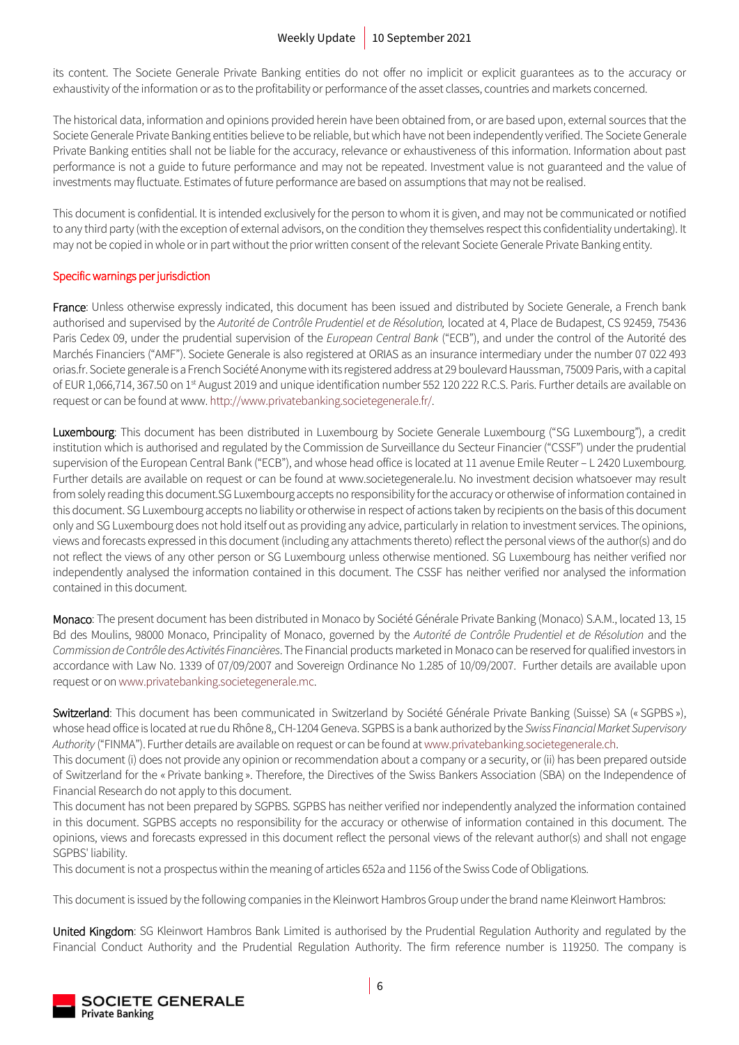its content. The Societe Generale Private Banking entities do not offer no implicit or explicit guarantees as to the accuracy or exhaustivity of the information or as to the profitability or performance of the asset classes, countries and markets concerned.

The historical data, information and opinions provided herein have been obtained from, or are based upon, external sources that the Societe Generale Private Banking entities believe to be reliable, but which have not been independently verified. The Societe Generale Private Banking entities shall not be liable for the accuracy, relevance or exhaustiveness of this information. Information about past performance is not a guide to future performance and may not be repeated. Investment value is not guaranteed and the value of investments may fluctuate. Estimates of future performance are based on assumptions that may not be realised.

This document is confidential. It is intended exclusively for the person to whom it is given, and may not be communicated or notified to any third party (with the exception of external advisors, on the condition they themselves respect this confidentiality undertaking). It may not be copied in whole or in part without the prior written consent of the relevant Societe Generale Private Banking entity.

### Specific warnings per jurisdiction

France: Unless otherwise expressly indicated, this document has been issued and distributed by Societe Generale, a French bank authorised and supervised by the *Autorité de Contrôle Prudentiel et de Résolution,* located at 4, Place de Budapest, CS 92459, 75436 Paris Cedex 09, under the prudential supervision of the *European Central Bank* ("ECB"), and under the control of the Autorité des Marchés Financiers ("AMF"). Societe Generale is also registered at ORIAS as an insurance intermediary under the number 07 022 493 orias.fr. Societe generale is a French Société Anonyme with its registered address at 29 boulevard Haussman, 75009 Paris, with a capital of EUR 1,066,714, 367.50 on 1<sup>st</sup> August 2019 and unique identification number 552 120 222 R.C.S. Paris. Further details are available on request or can be found at www[. http://www.privatebanking.societegenerale.fr/.](http://www.privatebanking.societegenerale.fr/)

Luxembourg: This document has been distributed in Luxembourg by Societe Generale Luxembourg ("SG Luxembourg"), a credit institution which is authorised and regulated by the Commission de Surveillance du Secteur Financier ("CSSF") under the prudential supervision of the European Central Bank ("ECB"), and whose head office is located at 11 avenue Emile Reuter – L 2420 Luxembourg. Further details are available on request or can be found at www.societegenerale.lu. No investment decision whatsoever may result from solely reading this document.SG Luxembourg accepts no responsibility for the accuracy or otherwise of information contained in this document. SG Luxembourg accepts no liability or otherwise in respect of actions taken by recipients on the basis of this document only and SG Luxembourg does not hold itself out as providing any advice, particularly in relation to investment services. The opinions, views and forecasts expressed in this document (including any attachments thereto) reflect the personal views of the author(s) and do not reflect the views of any other person or SG Luxembourg unless otherwise mentioned. SG Luxembourg has neither verified nor independently analysed the information contained in this document. The CSSF has neither verified nor analysed the information contained in this document.

Monaco: The present document has been distributed in Monaco by Société Générale Private Banking (Monaco) S.A.M., located 13, 15 Bd des Moulins, 98000 Monaco, Principality of Monaco, governed by the *Autorité de Contrôle Prudentiel et de Résolution* and the *Commission de Contrôle des Activités Financières*. The Financial products marketed in Monaco can be reserved for qualified investors in accordance with Law No. 1339 of 07/09/2007 and Sovereign Ordinance No 1.285 of 10/09/2007. Further details are available upon request or o[n www.privatebanking.societegenerale.mc.](http://www.privatebanking.societegenerale.mc/)

Switzerland: This document has been communicated in Switzerland by Société Générale Private Banking (Suisse) SA (« SGPBS »), whose head office is located at rue du Rhône 8,, CH-1204 Geneva. SGPBS is a bank authorized by the *Swiss Financial Market Supervisory Authority* ("FINMA"). Further details are available on request or can be found at [www.privatebanking.societegenerale.ch.](http://www.privatebanking.societegenerale.ch/)

This document (i) does not provide any opinion or recommendation about a company or a security, or (ii) has been prepared outside of Switzerland for the « Private banking ». Therefore, the Directives of the Swiss Bankers Association (SBA) on the Independence of Financial Research do not apply to this document.

This document has not been prepared by SGPBS. SGPBS has neither verified nor independently analyzed the information contained in this document. SGPBS accepts no responsibility for the accuracy or otherwise of information contained in this document. The opinions, views and forecasts expressed in this document reflect the personal views of the relevant author(s) and shall not engage SGPBS' liability.

This document is not a prospectus within the meaning of articles 652a and 1156 of the Swiss Code of Obligations.

This document is issued by the following companies in the Kleinwort Hambros Group under the brand name Kleinwort Hambros:

United Kingdom: SG Kleinwort Hambros Bank Limited is authorised by the Prudential Regulation Authority and regulated by the Financial Conduct Authority and the Prudential Regulation Authority. The firm reference number is 119250. The company is